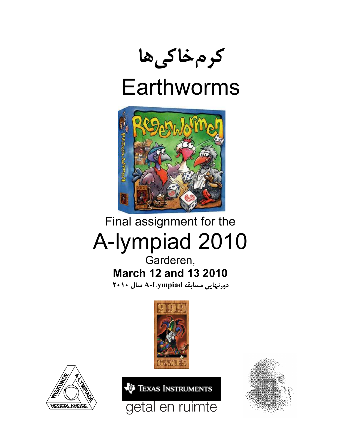

# Earthworms



## Final assignment for the A-lympiad 2010

## Garderen, **March 12 and 13 2010**

**دورنهايي مسابقه Lympiad-A سال 2010** 





TEXAS INSTRUMENTS getal en ruimte

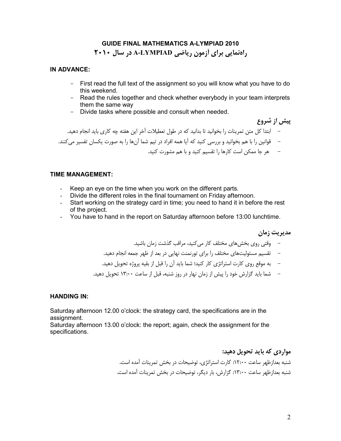#### **GUIDE FINAL MATHEMATICS A-LYMPIAD 2010 راهنمايي براي آزمون رياضي LYMPIAD-A در سال 2010**

#### **IN ADVANCE:**

- First read the full text of the assignment so you will know what you have to do this weekend.
- Read the rules together and check whether everybody in your team interprets them the same way
- Divide tasks where possible and consult when needed.

**پيش از شروع**  - ابتدا كل متن تمرينات را بخوانيد تا بدانيد كه در طول تعطيلات آخر اين هفته چه كاري بايد انجام دهيد. - قوانين را با هم بخوانيد و بررسي كنيد كه آيا همه افراد در تيم شما آنها را به صورت يكسان تفسير ميكنند. - هر جا ممكن است كارها را تقسيم كنيد و با هم مشورت كنيد.

#### **TIME MANAGEMENT:**

- Keep an eye on the time when you work on the different parts.
- Divide the different roles in the final tournament on Friday afternoon.
- Start working on the strategy card in time; you need to hand it in before the rest of the project.
- You have to hand in the report on Saturday afternoon before 13:00 lunchtime.

**مديريت زمان** 

– وقتي روي بخش هاي مختلف كار مي كنيد، مراقب گذشت زمان باشيد. - تقسيم مسئوليتهاي مختلف را براي تورنمنت نهايي در بعد از ظهر جمعه انجام دهيد. - به موقع روي كارت استراتژي كار كنيد؛ شما بايد آن را قبل از بقيه پروژه تحويل دهيد . - شما بايد گزارش خود را پيش از زمان نهار در روز شنبه، قبل از ساعت 13:00 تحويل دهيد .

#### **HANDING IN:**

Saturday afternoon 12.00 o'clock: the strategy card, the specifications are in the assignment.

Saturday afternoon 13.00 o'clock: the report; again, check the assignment for the specifications.

> **مواردي كه بايد تحويل دهيد :** شنبه بعدازظهر ساعت ۱۲:۰۰ كارت استراتژي، توضيحات در بخش تمرينات آمده است. شنبه بعدازظهر ساعت :13:00 گزارش، بار ديگر، توضيحات در بخش تمرينات آمده است .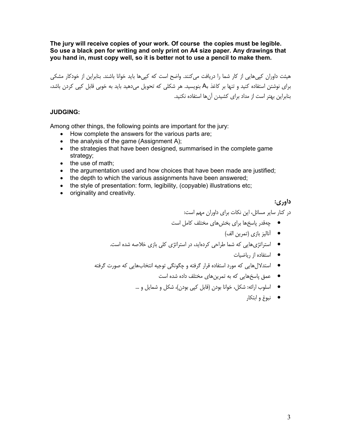**The jury will receive copies of your work. Of course the copies must be legible. So use a black pen for writing and only print on A4 size paper. Any drawings that you hand in, must copy well, so it is better not to use a pencil to make them.** 

هيئت داوران كپيهايي از كار شما را دريافت ميكنند. واضح است كه كپيها بايد خوانا باشند. بنابراين از خودكار مشكي برای نوشتن استفاده كنيد و تنها بر كاغذ A<sub>۴</sub> بنويسيد. هر شكلی كه تحويل میدهيد بايد به خوبی قابل كپ*ی* كردن باشد، بنابراين بهتر است از مداد براي كشيدن آنها استفاده نكنيد.

#### **JUDGING:**

Among other things, the following points are important for the jury:

- How complete the answers for the various parts are;
- the analysis of the game (Assignment A);
- the strategies that have been designed, summarised in the complete game strategy;
- the use of math;
- the argumentation used and how choices that have been made are justified;
- the depth to which the various assignments have been answered;
- the style of presentation: form, legibility, (copyable) illustrations etc;
- originality and creativity.

#### **داوري :**

در كنار ساير مسائل، اين نكات براي داوران مهم است :

- هچ ها قدر پاسخ براي بخشهاي مختلف كامل است
	- آناليز بازي (تمرين الف )
- استراتژيهايي كه شما طراحي كردهايد، در استراتژي كلي بازي خلاصه شده است .
	- استفاده از رياضيات
- استدلالهايي كه مورد استفاده قرار گرفته و چگونگي توجيه انتخابهايي كه صورت گرفته
	- ها عمق پاسخ يي كه به تمرينهاي مختلف داده شده است
	- اسلوب ارائه: شكل، خوانا بودن (قابل كپي بودن)، شكل و شمايل و ...
		- نبوغ و ابتكار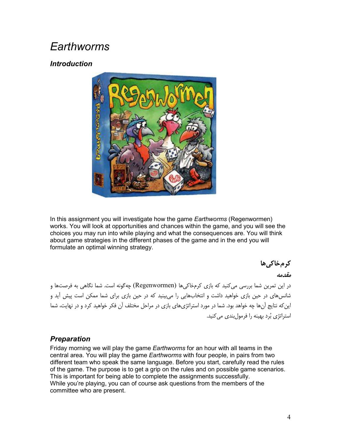## *Earthworms*

#### *Introduction*



In this assignment you will investigate how the game *Earthworms* (Regenwormen) works. You will look at opportunities and chances within the game, and you will see the choices you may run into while playing and what the consequences are. You will think about game strategies in the different phases of the game and in the end you will formulate an optimal winning strategy.

 **كرم ها خاكي**

**مقدمه** 

در اين تمرين شما بررسي ميكنيد كه بازي كرمخاكي ها (Regenwormen) چهگونه است. شما نگاهي به فرصتها و شانسهاي در حين بازي خواهيد داشت و انتخابهايي را ميبينيد كه در حين بازي براي شما ممكن است پيش آيد و اين كه نتايج آنها چه خواهد بود. شما در مورد استراتژي هاي بازي در مراحل مختلف آن فكر خواهيد كرد و در نهايت، شما استراتژي بُرد بهينه را فرمول بندي مي كنيد.

#### *Preparation*

Friday morning we will play the game *Earthworms* for an hour with all teams in the central area. You will play the game *Earthworms* with four people, in pairs from two different team who speak the same language. Before you start, carefully read the rules of the game. The purpose is to get a grip on the rules and on possible game scenarios. This is important for being able to complete the assignments successfully. While you're playing, you can of course ask questions from the members of the committee who are present.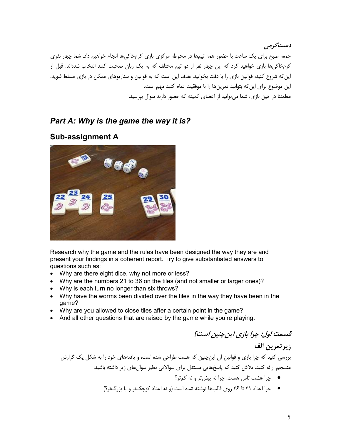**دستگرمي**  جمعه صبح براي يک ساعت با حضور همه تيمها در محوطه مركزي بازي كرمخاكي ها انجام خواهيم داد. شما چهار نفري كرمخاكي ها بازي خواهيد كرد كه اين چهار نفر از دو تيم مختلف كه به يك زبان صحبت كنند انتخاب شدهاند. قبل از اينكه شروع كنيد، قوانين بازي را با دقت بخوانيد. هدف اين است كه به قوانين و سناريوهاي ممكن در بازي مسلط شويد. اين موضوع براي اينكه بتوانيد تمرينها را با موفقيت تمام كنيد مهم است . مطمئنا در حين بازي، شما ميتوانيد از اعضاي كميته كه حضور دارند سوال بپرسيد .

#### *Part A: Why is the game the way it is?*

#### **Sub-assignment A**



Research why the game and the rules have been designed the way they are and present your findings in a coherent report. Try to give substantiated answers to questions such as:

- Why are there eight dice, why not more or less?
- Why are the numbers 21 to 36 on the tiles (and not smaller or larger ones)?
- Why is each turn no longer than six throws?
- Why have the worms been divided over the tiles in the way they have been in the game?
- Why are you allowed to close tiles after a certain point in the game?
- And all other questions that are raised by the game while you're playing.

#### **قسمت اول: چرا بازي اينچنين است؟**

#### **زيرتمرين الف**

بررسي كنيد كه چرا بازي و قوانين آن اينچنين كه هست طراحي شده است، و يافتههاي خود را به شكل يك گزارش منسجم ارائه كنيد. تلاش كنيد كه پاسخ هايي مستدل براي سوالاتي نظير سوال هاي زير داشته باشيد:

- چرا هشت تاس هست، چرا نه بيشتر و نه كمتر؟
- چرا اعداد تا 21 36 روي قالبها نوشته شده است (و نه اعداد كوچكتر و يا بزرگ )تر؟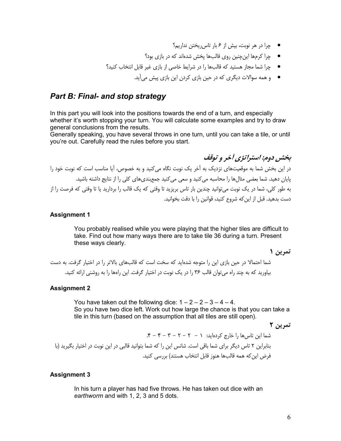- چرا در هر نوبت، بيش از 6 بار تاسريختن نداريم؟
- چرا كرمها اينچنين روي قالبها پخش شدهاند كه در بازي بود؟
- چرا شما مجاز هستيد كه قالبها را در شرايط خاصي از بازي غير قابل انتخاب كنيد؟
	- و همه سوالات ديگري كه در حين بازي كردن اين بازي پيش مي .آيد

#### *Part B: Final- and stop strategy*

In this part you will look into the positions towards the end of a turn, and especially whether it's worth stopping your turn. You will calculate some examples and try to draw general conclusions from the results.

Generally speaking, you have several throws in one turn, until you can take a tile, or until you're out. Carefully read the rules before you start.

**بخش دوم: استراتژي آخر و توقف**  در اين بخش شما به موقعيتهاي نزديك به آخر يك نوبت نگاه ميكنيد و به خصوص، آيا مناسب است كه نوبت خود را پايان دهيد. شما بعضي مثالها را محاسبه ميكنيد و سعي ميكنيد جمعبنديهاي كلي را از نتايج داشته باشيد . به طور كلي، شما در يك نوبت ميتوانيد چندين بار تاس بريزيد تا وقتي كه يك قالب را برداريد يا تا وقتي كه فرصت را از دست بدهيد. قبل از اينكه شروع كنيد، قوانين را با دقت بخوانيد .

#### **Assignment 1**

You probably realised while you were playing that the higher tiles are difficult to take. Find out how many ways there are to take tile 36 during a turn. Present these ways clearly.

شما احتمالا در حين بازي اين را متوجه شدهايد كه سخت است كه قالبهاي بالاتر را در اختيار گرفت . به دست بياوريد كه به چند راه ميتوان قالب 36 را در يك نوبت در اختيار گرفت. اين راهها را به روشني ارائه كنيد .

#### **Assignment 2**

You have taken out the following dice:  $1 - 2 - 2 - 3 - 4 - 4$ . So you have two dice left. Work out how large the chance is that you can take a tile in this turn (based on the assumption that all tiles are still open).

**تمرين 2**

**تمرين 1** 

 ها شما اين تاس ايد را خارج كرده : 1 - 2 - 2 - 3 - 4 - 4. بنابراين 2 تاس ديگر براي شما باقي است. شانس اين را كه شما بتوانيد قالبي در اين نوبت در اختيار بگيريد با ( فرض اينكه همه قالبها هنوز قابل انتخاب هستند) بررسي كني . د

#### **Assignment 3**

In his turn a player has had five throws. He has taken out dice with an *earthworm* and with 1, 2, 3 and 5 dots.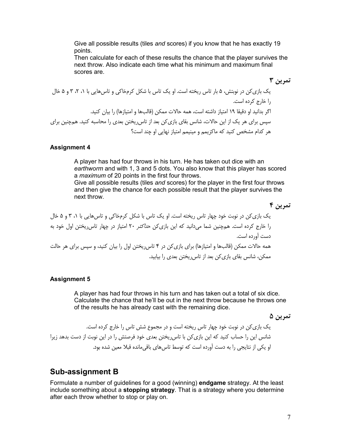Give all possible results (tiles *and* scores) if you know that he has exactly 19 points.

Then calculate for each of these results the chance that the player survives the next throw. Also indicate each time what his minimum and maximum final scores are.

يك بازيكن در نوبتش، 5 بار تاس ريخته است. او يك تاس با شكل كرمخاكي و تاسهايي 5و ،3 ،2 1با خال را خارج كرده است . اگر بدانيد او دقيقا 19 امتياز داشته است، همه حالات ممكن (قالبها و امتيازها) را بيان كنيد . سپس براي هر يك از اين حالات، شانس بقاي بازيكن بعد از تاسريختن بعدي را محاسبه كنيد. همچنين براي هر كدام مشخص كنيد كه ماكزيمم و مينيمم امتياز نهايي او چند است؟

#### **Assignment 4**

A player has had four throws in his turn. He has taken out dice with an *earthworm* and with 1, 3 and 5 dots. You also know that this player has scored a *maximum* of 20 points in the first four throws.

Give all possible results (tiles *and* scores) for the player in the first four throws and then give the chance for each possible result that the player survives the next throw.

يك بازيكن در نوبت خود چهار تاس ريخته است او. يك تاس با شكل كرمخاكي و تاسهايي با 5و ،3 1 خال را خارج كرده است . همچنين شما ميدانيد كه اين بازي كن حداكثر 20 امتياز در چهار تاسريختن اول خود به دست آورده است . همه حالات ممكن (قالبها و امتيازها ب) راي بازيكن در 4 تاسريختن اول را بيان كنيد، و سپس براي هر حالت ممكن، شانس بقاي بازيكن بعد از تاسريختن بعدي را بيابيد .

#### **Assignment 5**

A player has had four throws in his turn and has taken out a total of six dice. Calculate the chance that he'll be out in the next throw because he throws one of the results he has already cast with the remaining dice.

**تمرين 5** 

**تمرين 4** 

**تمرين 3** 

يك بازيكن در نوبت خود چهار تاس ريخته است و در مجموع شش تاس را خارج كرده است . شانس اين را حساب كنيد كه اين بازيكن با تاسريختن بعدي خود فرصتش را در اين نوبت از دست بدهد زيرا او يكي از نتايجي را به دست آورده است كه توسط تاسهاي باقيمانده قبلا معين شده بود .

#### **Sub-assignment B**

Formulate a number of guidelines for a good (winning) **endgame** strategy. At the least include something about a **stopping strategy**. That is a strategy where you determine after each throw whether to stop or play on.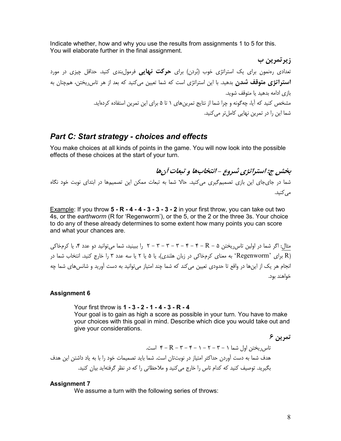Indicate whether, how and why you use the results from assignments 1 to 5 for this. You will elaborate further in the final assignment.

**زيرتمرين ب**  تعدادي رهنمون براي يک استراتژي خوب (بُردن) براي **حركت نهايي** فرمولبندي كنيد. حداقل چيزي در مورد **استراتژي متوقف شدن** بدهيد. با اين استراتژي است كه شما تعيين ميكنيد كه بعد از هر تاس ريختن، همچنان به بازي ادامه بدهيد يا متوقف شويد . مشخص كنيد كه آيا، چهگونه و چرا شما از نتايج تمرين هاي ١ تا ۵ براي اين تمرين استفاده كردهايد. شما اين را در تمرين نهايي كاملتر ميكنيد.

#### *Part C: Start strategy - choices and effects*

You make choices at all kinds of points in the game. You will now look into the possible effects of these choices at the start of your turn.

**بخش ج: استراتژي شروع - انتخاب ها ها و تبعات آن** شما در جايجاي اين بازي تصميمگيري ميكنيد. حالا شما به تبعات ممكن اين تصميمها در ابتداي نوبت خود نگاه مي كنيد.

Example: If you throw **5 - R - 4 - 4 - 3 - 3 - 3 - 2** in your first throw, you can take out two 4s, or the *earthworm* (R for 'Regenworm'), or the 5, or the 2 or the three 3s. Your choice to do any of these already determines to some extent how many points you can score and what your chances are.

مثال: اگر شما در اولين تاس ريختن  $R - R - S - 3 - 3 - 3 - 3 - 1$  , اببينيد، شما مي توانيد دو عدد ۴، يا كرمخاكي (R براي 'Regenworm 'به معناي كرمخاكي در زبان هلندي)، يا 2يا 5 يا سه عدد را 3 خارج كنيد. انتخاب شما در انجام هر يک از اينها در واقع تا حدودي تعيين مي كند كه شما چند امتياز مي توانيد به دست آوريد و شانس هاي شما چه خواهند بود .

#### **Assignment 6**

Your first throw is **1 - 3 - 2 - 1 - 4 - 3 - R - 4** Your goal is to gain as high a score as possible in your turn. You have to make your choices with this goal in mind. Describe which dice you would take out and give your considerations.

**تمرين 6** 

تاس ريختن اول شما  $\mathbf{r} - \mathbf{r} - \mathbf{r} - \mathbf{r} - \mathbf{r} - \mathbf{r} - \mathbf{r} - \mathbf{r}$  است. هدف شما به دست آوردن حداكثر امتياز در نوبتتان است. شما بايد تصميمات خود را با به ياد داشتن اين هدف بگيريد. توصيف كنيد كه كدام تاس را خارج ميكنيد و ملاحظاتي را كه در نظر گرفتهايد بيان كنيد .

#### **Assignment 7**

We assume a turn with the following series of throws: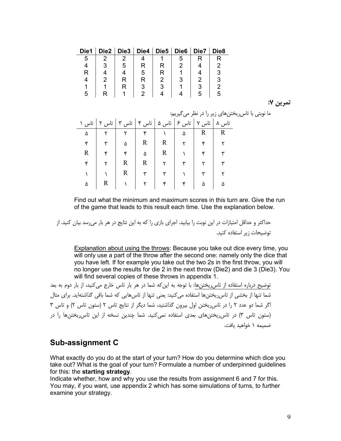| Die1 | $Die2$ Die3 |   | Die4   Die5   Die6 | Die7 | Die <sub>8</sub> |
|------|-------------|---|--------------------|------|------------------|
| 5    | C           |   |                    |      |                  |
|      | 5           | R |                    |      |                  |
| R    |             | 5 |                    |      |                  |
|      | R           | R |                    | າ    |                  |
|      | R           |   |                    |      | ŋ                |
| h    |             |   |                    |      |                  |

**تمرين 7:**

|  |  |                                                               |  | ما نوبتی با تاس یختنهای زیر را در نظر می گیریم: |
|--|--|---------------------------------------------------------------|--|-------------------------------------------------|
|  |  | تاس ۸   تاس ۷   تاس ۶   تاس ۵   تاس ۴   تاس ۳   تاس ۲   تاس ۱ |  |                                                 |
|  |  |                                                               |  |                                                 |
|  |  |                                                               |  |                                                 |
|  |  |                                                               |  |                                                 |
|  |  |                                                               |  |                                                 |
|  |  |                                                               |  |                                                 |
|  |  |                                                               |  |                                                 |

Find out what the minimum and maximum scores in this turn are. Give the run of the game that leads to this result each time. Use the explanation below.

حداكثر و حداقل امتيازات در اين نوبت را بيابيد. اجراي بازي را كه به اين نتايج در هر بار ميرسد بيان كنيد از . توضيحات زير استفاده كنيد.

Explanation about using the throws: Because you take out dice every time, you will only use a part of the throw after the second one: namely only the dice that you have left. If for example you take out the two 2s in the first throw, you will no longer use the results for die 2 in the next throw (Die2) and die 3 (Die3). You will find several copies of these throws in appendix 1.

توضيح درباره استفاده از تاس ريختن ها: با توجه به اين كه شما در هر بار تاس خارج مي كنيد، از بار دوم به بعد شما تنها از بخشي از تاس يختنها استفاده مي كنيد: يعني تنها از تاسهايي كه شما باقي گذاشتهايد. براي مثال اگر شما دو عدد 2 را در تاسريختن اول بيرون گذاشتيد، شما ديگر از نتايج تاس ( 2 ستون تاس ) 2 و تاس 3 (ستون تاس ٣) در تاس ريختنهاي بعدي استفاده نمي كنيد. شما چندين نسخه از اين تاس ريختنها را در ضميمه 1 خواهيد يافت .

#### **Sub-assignment C**

What exactly do you do at the start of your turn? How do you determine which dice you take out? What is the goal of your turn? Formulate a number of underpinned guidelines for this: the **starting strategy**.

Indicate whether, how and why you use the results from assignment 6 and 7 for this. You may, if you want, use appendix 2 which has some simulations of turns, to further examine your strategy.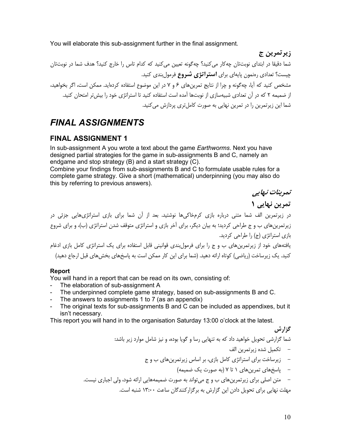You will elaborate this sub-assignment further in the final assignment.

**زيرتمرين ج**  شما دقيقا در ابتداي نوبتتان چهكار ميكنيد؟ چهگونه تعيين ميكنيد كه كدام تاس را خارج كنيد؟ هدف شما در نوبت تان چيست؟ تعدادي ر نم ه ون پايهاي براي **استراتژي شروع** فرمولبندي كنيد . مشخص كنيد كه آيا، چهگونه و چرا از نتايج تمرينهاي ۶ و ۷ در اين موضوع استفاده كردهايد. ممكن است، اگر بخواهيد، از ضميمه 2 كه در آن تعدادي شبيهسازي از نوبتها آمده است استفاده كنيد تا استراتژي خود را بيشتر امتحان كنيد . شما اين زيرتمرين را در تمرين نهايي به صورت كاملتري پردازش ميكنيد .

### *FINAL ASSIGNMENTS*

#### **FINAL ASSIGNMENT 1**

In sub-assignment A you wrote a text about the game *Earthworms*. Next you have designed partial strategies for the game in sub-assignments B and C, namely an endgame and stop strategy (B) and a start strategy (C).

Combine your findings from sub-assignments B and C to formulate usable rules for a complete game strategy. Give a short (mathematical) underpinning (you may also do this by referring to previous answers).

**تمرينات نهايي** 

**تمرين نهايي 1**

در زيرتمرين الف شما متنى درباره بازي كرمخاكي ها نوشتيد. بعد از آن شما براي بازي استراتژيهايي جزئي در زيرتمرين هاي ب و ج طراحي كرديد؛ به بيان ديگر، براي آخر بازي و استراتژي متوقف شدن استراتژي (ب)، و براي شروع بازي استراتژي )ج( را طراحي كرديد . يافتههاي خود از زيرتمرينهاي ب و ج را براي فرمولبندي قوانيني قابل استفاده براي يك استراتژي كامل بازي ادغام كنيد. يک زيرساخت (رياضي) كوتاه ارائه دهيد. (شما براي اين كار ممكن است به پاسخهاي بخش هاي قبل ارجاع دهيد)

#### **Report**

You will hand in a report that can be read on its own, consisting of:

- The elaboration of sub-assignment A
- The underpinned complete game strategy, based on sub-assignments B and C.
- The answers to assignments 1 to 7 (as an appendix)
- The original texts for sub-assignments B and C can be included as appendixes, but it isn't necessary.

This report you will hand in to the organisation Saturday 13:00 o'clock at the latest.

شما گزارشي تحويل خواهيد داد كه به تنهايي رسا و گويا بوده، نيزو شامل موارد زير باشد : - تكميل شده زيرتمرين الف - زيرساخت براي استراتژي كامل بازي، بر اساس زيرتمرينهاي ب و ج - پاسخهاي تمرينهاي ( 7تا 1 به صورت يك ضميمه) - متن اصلي براي زيرتمرينهاي ب و ج ميتواند به صورت ضميمههايي ارائه شود ، ولي اجباري نيست. مهلت نهايي براي تحويل دادن اين گزارش به برگزاركنندگان ساعت 13:00 شنبه است .

**گزارش**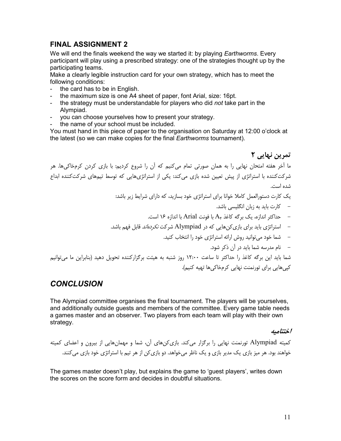#### **FINAL ASSIGNMENT 2**

We will end the finals weekend the way we started it: by playing *Earthworms*. Every participant will play using a prescribed strategy: one of the strategies thought up by the participating teams.

Make a clearly legible instruction card for your own strategy, which has to meet the following conditions:

- the card has to be in English.
- the maximum size is one A4 sheet of paper, font Arial, size: 16pt.
- the strategy must be understandable for players who did *not* take part in the Alympiad.
- you can choose yourselves how to present your strategy.
- the name of your school must be included.

You must hand in this piece of paper to the organisation on Saturday at 12:00 o'clock at the latest (so we can make copies for the final *Earthworms* tournament).

#### **تمرين نهايي 2**

ما آخر هفته امتحان نهايي را به همان صورتي تمام ميكنيم كه آن را شروع كرديم: با بازي كردن كرمخاكي ها. هر شركتكننده با استراتژي از پيش تعيين شده بازي ميكند: يكي از استراتژيهايي كه توسط تيمهاي شركتكننده ابداع شده است .

يك كارت دستورالعمل كاملا خوانا براي استراتژي خود بسازيد، كه داراي شرايط زير باشد :

- كارت بايد به زبان انگليسي باشد.
- حداكثر اندازه، يک برگه كاغذ  $\rm A_r$  با فونت  $\rm A$ rial با اندازه ۱۶ است.
- استراتژي بايد براي بازي كن هايي كه در Alympiad شركت *نكردهاند* قابل فهم باشد.
	- شما خود ميتوانيد روش ارائه استراتژي خود را انتخاب كنيد.
		- نام مدرسه شما بايد در آن ذكر شود.

شما بايد اين برگه كاغذ را حداكثر تا ساعت ١٢:٠٠ روز شنبه به هيئت برگزاركننده تحويل دهيد (بنابراين ما مي توانيم كپي هايي براي تورنمنت نهايي كرمخاكي ها تهيه كنيم).

#### *CONCLUSION*

The Alympiad committee organises the final tournament. The players will be yourselves, and additionally outside guests and members of the committee. Every game table needs a games master and an observer. Two players from each team will play with their own strategy.

#### **اختتاميه**

كميته Alympiad تورنمنت نهايي را برگزار ميكند. بازي كنهاي آن ، شما و مهمانهايي از بيرون و اعضاي كميته خواهند بود. هر ميز بازي يک مدير بازي و يک ناظر مي خواهد. دو بازي کن از هر تيم با استراتژي خود بازي مي کنند.

The games master doesn't play, but explains the game to 'guest players', writes down the scores on the score form and decides in doubtful situations.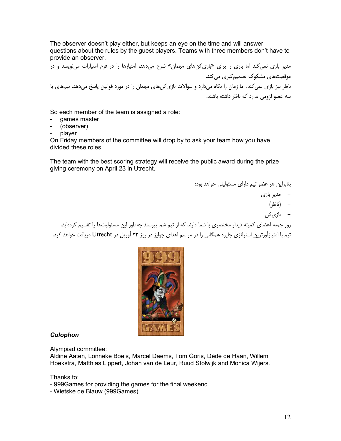The observer doesn't play either, but keeps an eye on the time and will answer questions about the rules by the guest players. Teams with three members don't have to provide an observer.

مدير بازي نميكند اما بازي را براي «بازي كنهاي مهمان» شرح ميدهد، امتيازها را در فرم امتيازات مينويسد و در موقعيتهاي مشكوک تصميمگيري مي كند. ناظر نيز بازي نميكند، اما زمان را نگاه ميدارد و سوالات بازي كنهاي مهمان را در مورد قوانين پاسخ ميدهد. تيمهاي با سه عضو لزومي ندارد كه ناظر داشته باشند .

So each member of the team is assigned a role:

- games master
- (observer)
- player

On Friday members of the committee will drop by to ask your team how you have divided these roles.

The team with the best scoring strategy will receive the public award during the prize giving ceremony on April 23 in Utrecht.

بنابراين هر عضو تيم داراي مسئوليتي خواهد بود:

- مدير بازي
	- (ناظر)
	- بازيكن

روز جمعه اعضاي كميته ديدار مختصري با شما دارند كه از تيم شما بپرسند چهطور اين مسئوليتها را تقسيم كردهايد. تيم با امتيازآورترين استراتژي جايزه همگاني را در مراسم اهداي جوايز در روز 23 آوريل در Utrecht دريافت خواهد كرد .



#### *Colophon*

Alympiad committee:

Aldine Aaten, Lonneke Boels, Marcel Daems, Tom Goris, Dédé de Haan, Willem Hoekstra, Matthias Lippert, Johan van de Leur, Ruud Stolwijk and Monica Wijers.

Thanks to:

- 999Games for providing the games for the final weekend.
- Wietske de Blauw (999Games).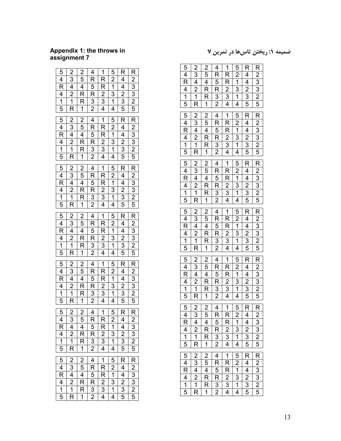#### **Appendix 1: the throws in assignment 7**

#### $5 | 2 | 2 | 4 | 1$  $5|R|$ R  $4 | 3 | 5 |$ R | 2 | 4 | 2  $R$  4 4 5 R 1<br>4 2 R R 2 3  $\begin{array}{|c|c|c|}\n\hline\n4 & 3 \\
\hline\n2 & 3 \\
\hline\n\end{array}$  $\begin{array}{|c|c|c|}\n 4 & 2 & R \\
 \hline\n 1 & 1 & R\n \end{array}$  $\begin{array}{|c|c|c|c|c|}\n\hline\nR & 2 & 3 & 2 & 3 \\
\hline\n3 & 3 & 1 & 3 & 2\n\end{array}$ 1 1 R 3 3 1 3 2<br>5 R 1 2 4 4 5 5  $4 | 4 |$  $\begin{array}{|c|c|c|c|c|c|}\n\hline\n5 & 2 & 2 & 4 & 1 & 5 \\
\hline\n4 & 3 & 5 & R & R & 2\n\end{array}$  $rac{R}{4}$ R  $4 \mid 3 \mid 5$ R  $\overline{2}$ R 4 4 5 R<br>4 2 R R 2  $\begin{array}{|c|c|c|c|}\n\hline\n1 & 4 & 3 \\
\hline\n3 & 2 & 3\n\end{array}$  $\overline{2}$  $\overline{2}$ 1 | 1 | R | 3 | 3 | 1 | 3 | 2  $5 | R | 1 | 2 | 4 | 4 | 5 | 5$  $\begin{array}{|c|c|c|c|c|c|c|c|c|} \hline 5 & 2 & 2 & 4 & 1 & 5 \\ \hline 4 & 3 & 5 & R & R & 2 \\ \hline \end{array}$ R R  $4 \mid 3$ R | 2 | 4 | 2  $R$  4 4 5 R<br>4 2 R R 2  $\begin{array}{|c|c|c|c|}\n\hline\n1 & 4 & 3 \\
\hline\n3 & 2 & 3\n\end{array}$  $\begin{array}{c|c} 4 & 2 \\ \hline 1 & 1 \end{array}$  $\begin{array}{|c|c|c|c|c|}\n\hline\n2 & 3 & 2 & 3 \\
\hline\n3 & 1 & 3 & 2\n\end{array}$ 1 | 1 | R | 3 | 3 | 1 | 3 | 2 5 | R | 1 | 2 | 4 | 4 | 5 | 5  $5$  | 2 | 2 | 4 | 1 | 5 | R R  $4 | 3 | 5 | R$ R | 2 | 4 | 2 R 4 4 5 R<br>4 2 R R 2  $\begin{array}{|c|c|c|c|}\n\hline\n1 & 4 & 3 \\
\hline\n3 & 2 & 3\n\end{array}$  $4 \mid 2 \mid$ R 2 3 2 3<br>3 3 1 3 2 1 1 R 3 3 1 3<br>5 R 1 2 4 4 5  $5 | R | 1 | 2 | 4 | 4 | 5 | 5$  $\begin{array}{|c|c|c|c|c|c|}\n\hline\n5 & 2 & 2 & 4 & 1 & 5 \\
\hline\n4 & 3 & 5 & R & R & 2\n\end{array}$  $rac{R}{4}$ R  $4 \mid 3 \mid 5$ R  $\overline{2}$ R 4 4 5 R<br>4 2 R R 2  $\begin{array}{|c|c|c|c|}\n\hline\n1 & 4 & 3 \\
\hline\n3 & 2 & 3\n\end{array}$  $\overline{2}$  $\overline{2}$ 1 | 1 | R | 3 | 3 | 1 | 3 | 2  $5 | R | 1 | 2 | 4 | 4 | 5 | 5$  $\begin{array}{|c|c|c|c|c|c|}\n 5 & 2 & 2 & 4 & 1 & 5 \\
\hline\n 4 & 3 & 5 & R & R & 2\n\end{array}$ R R  $4 \mid 3 \mid 5$  $R$  | 2  $4 \mid 2$ R 4 4 5 R<br>4 2 R R 2  $\begin{array}{|c|c|c|c|}\n\hline\n1 & 4 & 3 \\
\hline\n3 & 2 & 3\n\end{array}$  $4 \mid 2$  $R \mid 2$ 1 | 1 | R | 3 | 3 | 1 | 3 | 2 5 | R | 1 | 2 | 4 | 4 | 5 | 5  $5$  | 2 | 2 | 4 | 1  $5|R$ R  $4 | 3 | 5 | R$ R | 2 | 4 | 2  $R | 4 | 4 | 5 | R | 1$  $\begin{array}{|c|c|c|}\n\hline\n4 & 3 \\
\hline\n2 & 3 \\
\hline\n\end{array}$  $4$  | 2 | R |  $R | 2 | 3 | 2 | 3$ 1 | 1 | R | 3 | 3 | 1 | 3 | 2  $5 | R | 1 | 2 | 4 | 4 | 5 | 5$

#### **ضميمه : 1 ريختن تاسها در تمرين 7**

|                                                                                                                                                                                                                                                                                         |                                                                                                                                                                                                                                                                                                                                                                                                     |                                                                       |                                                                       |                                                                                                                                                                                                                                                                                                                     | $\frac{5}{2} - \frac{1}{1} - \frac{3}{1} - \frac{1}{1} - \frac{5}{1} - \frac{2}{1} - \frac{1}{1} - \frac{4}{1} - \frac{4}{1} - \frac{4}{1} - \frac{4}{1} - \frac{4}{1} - \frac{4}{1} - \frac{4}{1} - \frac{4}{1} - \frac{4}{1} - \frac{4}{1} - \frac{4}{1} - \frac{4}{1} - \frac{4}{1} - \frac{4}{1} - \frac{4}{1} - \frac{4}{1} - \frac{4}{1} - \frac{4}{1} - \frac{4}{1} - \frac{4}{1} - \frac{4$ |                                                                                                                                                                                                                                                                                                                                               |                                                                                |
|-----------------------------------------------------------------------------------------------------------------------------------------------------------------------------------------------------------------------------------------------------------------------------------------|-----------------------------------------------------------------------------------------------------------------------------------------------------------------------------------------------------------------------------------------------------------------------------------------------------------------------------------------------------------------------------------------------------|-----------------------------------------------------------------------|-----------------------------------------------------------------------|---------------------------------------------------------------------------------------------------------------------------------------------------------------------------------------------------------------------------------------------------------------------------------------------------------------------|-----------------------------------------------------------------------------------------------------------------------------------------------------------------------------------------------------------------------------------------------------------------------------------------------------------------------------------------------------------------------------------------------------|-----------------------------------------------------------------------------------------------------------------------------------------------------------------------------------------------------------------------------------------------------------------------------------------------------------------------------------------------|--------------------------------------------------------------------------------|
|                                                                                                                                                                                                                                                                                         |                                                                                                                                                                                                                                                                                                                                                                                                     |                                                                       |                                                                       |                                                                                                                                                                                                                                                                                                                     |                                                                                                                                                                                                                                                                                                                                                                                                     |                                                                                                                                                                                                                                                                                                                                               |                                                                                |
|                                                                                                                                                                                                                                                                                         |                                                                                                                                                                                                                                                                                                                                                                                                     |                                                                       |                                                                       |                                                                                                                                                                                                                                                                                                                     |                                                                                                                                                                                                                                                                                                                                                                                                     |                                                                                                                                                                                                                                                                                                                                               |                                                                                |
|                                                                                                                                                                                                                                                                                         |                                                                                                                                                                                                                                                                                                                                                                                                     |                                                                       |                                                                       |                                                                                                                                                                                                                                                                                                                     |                                                                                                                                                                                                                                                                                                                                                                                                     |                                                                                                                                                                                                                                                                                                                                               |                                                                                |
|                                                                                                                                                                                                                                                                                         |                                                                                                                                                                                                                                                                                                                                                                                                     |                                                                       |                                                                       |                                                                                                                                                                                                                                                                                                                     |                                                                                                                                                                                                                                                                                                                                                                                                     |                                                                                                                                                                                                                                                                                                                                               |                                                                                |
|                                                                                                                                                                                                                                                                                         |                                                                                                                                                                                                                                                                                                                                                                                                     |                                                                       |                                                                       |                                                                                                                                                                                                                                                                                                                     |                                                                                                                                                                                                                                                                                                                                                                                                     |                                                                                                                                                                                                                                                                                                                                               |                                                                                |
|                                                                                                                                                                                                                                                                                         |                                                                                                                                                                                                                                                                                                                                                                                                     |                                                                       |                                                                       |                                                                                                                                                                                                                                                                                                                     |                                                                                                                                                                                                                                                                                                                                                                                                     |                                                                                                                                                                                                                                                                                                                                               |                                                                                |
|                                                                                                                                                                                                                                                                                         |                                                                                                                                                                                                                                                                                                                                                                                                     |                                                                       |                                                                       |                                                                                                                                                                                                                                                                                                                     |                                                                                                                                                                                                                                                                                                                                                                                                     |                                                                                                                                                                                                                                                                                                                                               |                                                                                |
|                                                                                                                                                                                                                                                                                         |                                                                                                                                                                                                                                                                                                                                                                                                     | $\frac{2}{5}$ 4 R R 1 2 5 4 R R 1 2 5 4 R R 1 2 5 4 R R 1 2 5 4 R R 1 |                                                                       | $\frac{1}{1}$ $\frac{1}{1}$ $\frac{1}{1}$ $\frac{1}{1}$ $\frac{1}{1}$ $\frac{1}{1}$ $\frac{1}{1}$ $\frac{1}{1}$ $\frac{1}{1}$ $\frac{1}{1}$ $\frac{1}{1}$ $\frac{1}{1}$ $\frac{1}{1}$ $\frac{1}{1}$ $\frac{1}{1}$ $\frac{1}{1}$ $\frac{1}{1}$ $\frac{1}{1}$ $\frac{1}{1}$ $\frac{1}{1}$ $\frac{1}{1}$ $\frac{1}{1}$ |                                                                                                                                                                                                                                                                                                                                                                                                     |                                                                                                                                                                                                                                                                                                                                               |                                                                                |
|                                                                                                                                                                                                                                                                                         |                                                                                                                                                                                                                                                                                                                                                                                                     |                                                                       |                                                                       |                                                                                                                                                                                                                                                                                                                     |                                                                                                                                                                                                                                                                                                                                                                                                     |                                                                                                                                                                                                                                                                                                                                               |                                                                                |
|                                                                                                                                                                                                                                                                                         |                                                                                                                                                                                                                                                                                                                                                                                                     |                                                                       |                                                                       |                                                                                                                                                                                                                                                                                                                     |                                                                                                                                                                                                                                                                                                                                                                                                     |                                                                                                                                                                                                                                                                                                                                               |                                                                                |
|                                                                                                                                                                                                                                                                                         |                                                                                                                                                                                                                                                                                                                                                                                                     |                                                                       |                                                                       |                                                                                                                                                                                                                                                                                                                     |                                                                                                                                                                                                                                                                                                                                                                                                     |                                                                                                                                                                                                                                                                                                                                               |                                                                                |
|                                                                                                                                                                                                                                                                                         |                                                                                                                                                                                                                                                                                                                                                                                                     |                                                                       |                                                                       |                                                                                                                                                                                                                                                                                                                     |                                                                                                                                                                                                                                                                                                                                                                                                     |                                                                                                                                                                                                                                                                                                                                               |                                                                                |
|                                                                                                                                                                                                                                                                                         |                                                                                                                                                                                                                                                                                                                                                                                                     |                                                                       |                                                                       |                                                                                                                                                                                                                                                                                                                     |                                                                                                                                                                                                                                                                                                                                                                                                     |                                                                                                                                                                                                                                                                                                                                               |                                                                                |
|                                                                                                                                                                                                                                                                                         |                                                                                                                                                                                                                                                                                                                                                                                                     |                                                                       |                                                                       |                                                                                                                                                                                                                                                                                                                     |                                                                                                                                                                                                                                                                                                                                                                                                     |                                                                                                                                                                                                                                                                                                                                               |                                                                                |
|                                                                                                                                                                                                                                                                                         |                                                                                                                                                                                                                                                                                                                                                                                                     |                                                                       |                                                                       |                                                                                                                                                                                                                                                                                                                     |                                                                                                                                                                                                                                                                                                                                                                                                     |                                                                                                                                                                                                                                                                                                                                               |                                                                                |
|                                                                                                                                                                                                                                                                                         |                                                                                                                                                                                                                                                                                                                                                                                                     |                                                                       |                                                                       |                                                                                                                                                                                                                                                                                                                     |                                                                                                                                                                                                                                                                                                                                                                                                     |                                                                                                                                                                                                                                                                                                                                               |                                                                                |
|                                                                                                                                                                                                                                                                                         |                                                                                                                                                                                                                                                                                                                                                                                                     |                                                                       |                                                                       |                                                                                                                                                                                                                                                                                                                     |                                                                                                                                                                                                                                                                                                                                                                                                     |                                                                                                                                                                                                                                                                                                                                               |                                                                                |
|                                                                                                                                                                                                                                                                                         |                                                                                                                                                                                                                                                                                                                                                                                                     |                                                                       |                                                                       |                                                                                                                                                                                                                                                                                                                     |                                                                                                                                                                                                                                                                                                                                                                                                     |                                                                                                                                                                                                                                                                                                                                               |                                                                                |
|                                                                                                                                                                                                                                                                                         |                                                                                                                                                                                                                                                                                                                                                                                                     |                                                                       |                                                                       |                                                                                                                                                                                                                                                                                                                     |                                                                                                                                                                                                                                                                                                                                                                                                     |                                                                                                                                                                                                                                                                                                                                               |                                                                                |
|                                                                                                                                                                                                                                                                                         |                                                                                                                                                                                                                                                                                                                                                                                                     |                                                                       |                                                                       |                                                                                                                                                                                                                                                                                                                     |                                                                                                                                                                                                                                                                                                                                                                                                     |                                                                                                                                                                                                                                                                                                                                               |                                                                                |
|                                                                                                                                                                                                                                                                                         |                                                                                                                                                                                                                                                                                                                                                                                                     |                                                                       |                                                                       |                                                                                                                                                                                                                                                                                                                     |                                                                                                                                                                                                                                                                                                                                                                                                     |                                                                                                                                                                                                                                                                                                                                               |                                                                                |
|                                                                                                                                                                                                                                                                                         |                                                                                                                                                                                                                                                                                                                                                                                                     |                                                                       |                                                                       |                                                                                                                                                                                                                                                                                                                     |                                                                                                                                                                                                                                                                                                                                                                                                     |                                                                                                                                                                                                                                                                                                                                               |                                                                                |
|                                                                                                                                                                                                                                                                                         |                                                                                                                                                                                                                                                                                                                                                                                                     |                                                                       |                                                                       |                                                                                                                                                                                                                                                                                                                     |                                                                                                                                                                                                                                                                                                                                                                                                     |                                                                                                                                                                                                                                                                                                                                               |                                                                                |
|                                                                                                                                                                                                                                                                                         |                                                                                                                                                                                                                                                                                                                                                                                                     |                                                                       |                                                                       |                                                                                                                                                                                                                                                                                                                     |                                                                                                                                                                                                                                                                                                                                                                                                     |                                                                                                                                                                                                                                                                                                                                               |                                                                                |
|                                                                                                                                                                                                                                                                                         |                                                                                                                                                                                                                                                                                                                                                                                                     |                                                                       |                                                                       |                                                                                                                                                                                                                                                                                                                     |                                                                                                                                                                                                                                                                                                                                                                                                     |                                                                                                                                                                                                                                                                                                                                               |                                                                                |
|                                                                                                                                                                                                                                                                                         |                                                                                                                                                                                                                                                                                                                                                                                                     |                                                                       |                                                                       |                                                                                                                                                                                                                                                                                                                     |                                                                                                                                                                                                                                                                                                                                                                                                     |                                                                                                                                                                                                                                                                                                                                               |                                                                                |
| $\frac{5}{4}$ $\frac{4}{1}$ $\frac{4}{5}$ $\frac{1}{5}$ $\frac{5}{4}$ $\frac{4}{1}$ $\frac{4}{5}$ $\frac{1}{5}$ $\frac{4}{1}$ $\frac{1}{5}$ $\frac{5}{1}$ $\frac{4}{1}$ $\frac{1}{5}$ $\frac{1}{5}$ $\frac{1}{5}$ $\frac{1}{5}$ $\frac{1}{5}$ $\frac{1}{5}$ $\frac{1}{5}$ $\frac{1}{5}$ | $\frac{2}{3} - \frac{4}{4} - \frac{2}{2} - \frac{1}{1} - \frac{1}{1} - \frac{2}{1} - \frac{1}{1} - \frac{1}{1} - \frac{1}{1} - \frac{1}{1} - \frac{1}{1} - \frac{1}{1} - \frac{1}{1} - \frac{1}{1} - \frac{1}{1} - \frac{1}{1} - \frac{1}{1} - \frac{1}{1} - \frac{1}{1} - \frac{1}{1} - \frac{1}{1} - \frac{1}{1} - \frac{1}{1} - \frac{1}{1} - \frac{1}{1} - \frac{1}{1} - \frac{1}{1} - \frac{1$ | $\frac{2}{4}$ $\frac{5}{R}$ $\frac{4}{R}$ $\frac{1}{R}$ $\frac{1}{2}$ | $\frac{4}{R} - \frac{1}{6}$                                           | $\frac{1}{R}$ $\frac{1}{R}$ $\frac{1}{R}$ $\frac{2}{3}$ $\frac{3}{4}$ $\frac{4}{1}$                                                                                                                                                                                                                                 | $\frac{-5}{5}$ $\frac{2}{1}$ $\frac{1}{3}$ $\frac{1}{4}$ $\frac{1}{5}$ $\frac{1}{2}$ $\frac{1}{1}$ $\frac{1}{3}$ $\frac{1}{1}$ $\frac{1}{4}$ $\frac{1}{5}$ $\frac{1}{2}$ $\frac{1}{1}$ $\frac{1}{4}$ $\frac{1}{5}$                                                                                                                                                                                  | $\frac{R_4}{4} \frac{4}{2} \frac{3}{3} \frac{5}{5}$ $\frac{R_4}{1} \frac{4}{2} \frac{2}{3} \frac{3}{5}$ $\frac{5}{1} \frac{1}{1} \frac{4}{4} \frac{2}{2} \frac{3}{3} \frac{5}{5}$ $\frac{R_4}{1} \frac{4}{2} \frac{2}{3} \frac{3}{5}$ $\frac{R_4}{1} \frac{4}{2} \frac{2}{3} \frac{3}{5}$ $\frac{R_4}{1} \frac{4}{2} \frac{2}{3} \frac{3}{5}$ | <u>R_2_3_3_2_5   R_2_3_3_2_5   R_2_3_3_2_5   R_2_3_3_2_5   R_2_3_3_2_5   R</u> |
| $\overline{4}$                                                                                                                                                                                                                                                                          |                                                                                                                                                                                                                                                                                                                                                                                                     |                                                                       |                                                                       |                                                                                                                                                                                                                                                                                                                     |                                                                                                                                                                                                                                                                                                                                                                                                     |                                                                                                                                                                                                                                                                                                                                               |                                                                                |
|                                                                                                                                                                                                                                                                                         |                                                                                                                                                                                                                                                                                                                                                                                                     |                                                                       |                                                                       |                                                                                                                                                                                                                                                                                                                     |                                                                                                                                                                                                                                                                                                                                                                                                     |                                                                                                                                                                                                                                                                                                                                               |                                                                                |
| $\frac{R}{4}$ $\frac{1}{5}$                                                                                                                                                                                                                                                             | $\frac{3}{4}$ $\frac{4}{2}$ $\frac{1}{R}$                                                                                                                                                                                                                                                                                                                                                           | $\frac{5}{4}$ $\frac{4}{R}$ $\frac{8}{R}$ $\frac{1}{4}$               | $R = 5R$<br>$3/2$                                                     | $\frac{R}{2}$ $\frac{R}{3}$                                                                                                                                                                                                                                                                                         | $\frac{2}{1}$ $\frac{1}{3}$ $\frac{1}{4}$                                                                                                                                                                                                                                                                                                                                                           | $\frac{4}{2}$ $\frac{4}{2}$ $\frac{3}{5}$                                                                                                                                                                                                                                                                                                     | $\frac{2}{3}$ $\frac{3}{2}$ $\frac{2}{5}$                                      |
|                                                                                                                                                                                                                                                                                         |                                                                                                                                                                                                                                                                                                                                                                                                     |                                                                       |                                                                       |                                                                                                                                                                                                                                                                                                                     |                                                                                                                                                                                                                                                                                                                                                                                                     |                                                                                                                                                                                                                                                                                                                                               |                                                                                |
|                                                                                                                                                                                                                                                                                         |                                                                                                                                                                                                                                                                                                                                                                                                     |                                                                       |                                                                       |                                                                                                                                                                                                                                                                                                                     |                                                                                                                                                                                                                                                                                                                                                                                                     |                                                                                                                                                                                                                                                                                                                                               |                                                                                |
|                                                                                                                                                                                                                                                                                         |                                                                                                                                                                                                                                                                                                                                                                                                     |                                                                       |                                                                       |                                                                                                                                                                                                                                                                                                                     |                                                                                                                                                                                                                                                                                                                                                                                                     |                                                                                                                                                                                                                                                                                                                                               |                                                                                |
| $\frac{15}{4}$ $\frac{4}{1}$ $\frac{4}{1}$ $\frac{1}{5}$                                                                                                                                                                                                                                | $\frac{2}{3}$ $\frac{3}{4}$ $\frac{2}{1}$ $R$                                                                                                                                                                                                                                                                                                                                                       | $\frac{2}{5}$ $\frac{4}{R}$ $\frac{1}{R}$ $\frac{1}{1}$               | $\frac{4}{R}$ $\frac{1}{R}$ $\frac{5}{R}$ $\frac{1}{3}$ $\frac{2}{R}$ | $\frac{1}{R}$ $\frac{1}{R}$ $\frac{1}{2}$ $\frac{3}{4}$                                                                                                                                                                                                                                                             | $rac{5}{2}$ $rac{1}{1}$ $rac{3}{4}$                                                                                                                                                                                                                                                                                                                                                                 | $rac{R}{4}$ $rac{4}{2}$ $rac{2}{3}$ $rac{5}{5}$                                                                                                                                                                                                                                                                                               | $\frac{1}{2}$ $\frac{1}{3}$ $\frac{3}{2}$ $\frac{2}{5}$                        |
|                                                                                                                                                                                                                                                                                         |                                                                                                                                                                                                                                                                                                                                                                                                     |                                                                       |                                                                       |                                                                                                                                                                                                                                                                                                                     |                                                                                                                                                                                                                                                                                                                                                                                                     |                                                                                                                                                                                                                                                                                                                                               |                                                                                |
|                                                                                                                                                                                                                                                                                         |                                                                                                                                                                                                                                                                                                                                                                                                     |                                                                       |                                                                       |                                                                                                                                                                                                                                                                                                                     |                                                                                                                                                                                                                                                                                                                                                                                                     |                                                                                                                                                                                                                                                                                                                                               |                                                                                |
|                                                                                                                                                                                                                                                                                         |                                                                                                                                                                                                                                                                                                                                                                                                     |                                                                       |                                                                       |                                                                                                                                                                                                                                                                                                                     |                                                                                                                                                                                                                                                                                                                                                                                                     |                                                                                                                                                                                                                                                                                                                                               |                                                                                |
|                                                                                                                                                                                                                                                                                         |                                                                                                                                                                                                                                                                                                                                                                                                     |                                                                       |                                                                       |                                                                                                                                                                                                                                                                                                                     |                                                                                                                                                                                                                                                                                                                                                                                                     |                                                                                                                                                                                                                                                                                                                                               |                                                                                |
|                                                                                                                                                                                                                                                                                         |                                                                                                                                                                                                                                                                                                                                                                                                     |                                                                       |                                                                       |                                                                                                                                                                                                                                                                                                                     |                                                                                                                                                                                                                                                                                                                                                                                                     |                                                                                                                                                                                                                                                                                                                                               |                                                                                |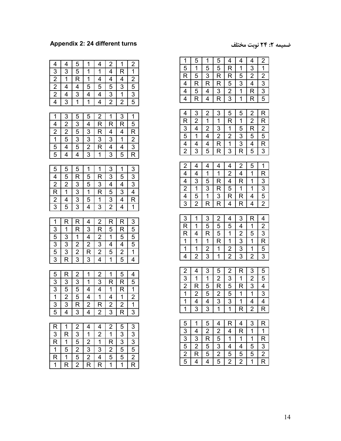#### **Appendix 2: 24 different turns**

#### **ضميمه : 2 24 نوبت مختلف**

| $\frac{2}{4}$ $\frac{4}{5}$ $\frac{3}{2}$<br>1<br>$\frac{4}{3}$ $\frac{2}{2}$ $\frac{2}{4}$<br>$\frac{5}{5}$ $\frac{R}{4}$ $\frac{3}{1}$<br>4<br>1<br>$\frac{4}{3}$ $\frac{1}{4}$ $\frac{4}{3}$<br>$\frac{R}{4}$ $\frac{3}{1}$ $\frac{1}{2}$<br>$\frac{1}{4}$ $\frac{4}{5}$ $\frac{4}{4}$<br>$\overline{1}$<br>$\frac{1}{5}$ $\frac{4}{1}$                                   | $\frac{2}{1}$ $\frac{1}{2}$ $\frac{5}{3}$ $\frac{3}{5}$ |
|------------------------------------------------------------------------------------------------------------------------------------------------------------------------------------------------------------------------------------------------------------------------------------------------------------------------------------------------------------------------------|---------------------------------------------------------|
|                                                                                                                                                                                                                                                                                                                                                                              |                                                         |
|                                                                                                                                                                                                                                                                                                                                                                              |                                                         |
|                                                                                                                                                                                                                                                                                                                                                                              |                                                         |
|                                                                                                                                                                                                                                                                                                                                                                              |                                                         |
|                                                                                                                                                                                                                                                                                                                                                                              |                                                         |
|                                                                                                                                                                                                                                                                                                                                                                              |                                                         |
|                                                                                                                                                                                                                                                                                                                                                                              |                                                         |
| 1<br>1                                                                                                                                                                                                                                                                                                                                                                       |                                                         |
|                                                                                                                                                                                                                                                                                                                                                                              |                                                         |
|                                                                                                                                                                                                                                                                                                                                                                              |                                                         |
|                                                                                                                                                                                                                                                                                                                                                                              |                                                         |
| $\frac{3}{2}$ $\frac{2}{5}$ $\frac{4}{4}$<br>$\frac{2}{R}$ $\frac{R}{3}$ $\frac{R}{R}$ $\frac{1}{1}$<br>$\frac{3}{R}$ $\frac{4}{1}$ $\frac{4}{5}$<br>$\frac{5}{3}$ $\frac{3}{5}$ $\frac{5}{4}$<br>$\frac{5}{4}$ $\frac{4}{3}$ $\frac{2}{3}$ $\frac{2}{3}$<br>$\frac{1}{4}$ $\frac{1}{3}$ $\frac{4}{3}$<br>$\frac{4}{2}$ $\frac{1}{5}$ $\frac{5}{5}$                          | $\frac{1}{5}$ $\frac{1}{R}$ $\frac{2}{3}$ $R$           |
|                                                                                                                                                                                                                                                                                                                                                                              |                                                         |
|                                                                                                                                                                                                                                                                                                                                                                              |                                                         |
| $\frac{5}{4}$ $\frac{4}{2}$ $\frac{1}{2}$ $\frac{2}{3}$<br>$\frac{5}{18}$ $\frac{1}{3}$ $\frac{3}{3}$ $\frac{3}{3}$<br>$\frac{3}{4}$ $\frac{4}{5}$ $\frac{3}{2}$<br>$\frac{5}{2}$ $\frac{2}{1}$ $\frac{4}{5}$<br>1<br>1<br>1                                                                                                                                                 | $\frac{3}{3}$ $\frac{3}{4}$ $\frac{4}{8}$ $\frac{1}{1}$ |
|                                                                                                                                                                                                                                                                                                                                                                              |                                                         |
|                                                                                                                                                                                                                                                                                                                                                                              |                                                         |
| $\frac{5}{4}$ $\frac{4}{4}$<br>$\frac{5}{5}$ $\frac{5}{4}$<br>$\frac{R}{3}$ $\frac{R}{R}$ $\frac{1}{3}$                                                                                                                                                                                                                                                                      |                                                         |
|                                                                                                                                                                                                                                                                                                                                                                              |                                                         |
|                                                                                                                                                                                                                                                                                                                                                                              |                                                         |
|                                                                                                                                                                                                                                                                                                                                                                              |                                                         |
| $\overline{1}$<br>R<br>4                                                                                                                                                                                                                                                                                                                                                     |                                                         |
|                                                                                                                                                                                                                                                                                                                                                                              |                                                         |
|                                                                                                                                                                                                                                                                                                                                                                              |                                                         |
|                                                                                                                                                                                                                                                                                                                                                                              |                                                         |
|                                                                                                                                                                                                                                                                                                                                                                              |                                                         |
|                                                                                                                                                                                                                                                                                                                                                                              |                                                         |
| $\frac{2}{R}$ $\frac{2}{3}$ $\frac{2}{4}$<br>$\frac{R}{R}$ $\frac{1}{2}$ $\frac{2}{3}$<br>$rac{R}{5}$ $rac{4}{1}$ $rac{5}{5}$ $1$<br>$\frac{R}{R}$ $\frac{R}{5}$ $\frac{4}{4}$ $\frac{2}{5}$<br>$\frac{3}{5}$ $\frac{5}{3}$ $\frac{5}{3}$<br>$\frac{1}{3}$ $\frac{3}{3}$ $\frac{3}{8}$ $\frac{1}{8}$<br>$\frac{3}{4}$ $\frac{4}{2}$ $\frac{1}{8}$ $\frac{1}{3}$              | $\frac{3}{5}$ $\frac{5}{5}$ $\frac{1}{4}$               |
|                                                                                                                                                                                                                                                                                                                                                                              |                                                         |
| 1                                                                                                                                                                                                                                                                                                                                                                            |                                                         |
|                                                                                                                                                                                                                                                                                                                                                                              |                                                         |
|                                                                                                                                                                                                                                                                                                                                                                              |                                                         |
|                                                                                                                                                                                                                                                                                                                                                                              |                                                         |
| $\frac{2}{3}$ $\frac{5}{5}$ $\frac{5}{R}$<br>$\frac{2}{3}$ $\frac{3}{4}$ $\frac{1}{R}$<br>$\frac{5}{3}$ $\frac{3}{1}$ $\frac{1}{3}$<br>$\frac{1}{R}$ $\frac{1}{4}$ $\frac{4}{2}$<br>$\frac{5}{R}$ $\frac{R}{1}$ $\frac{1}{2}$<br>$\frac{R}{3}$ $\frac{5}{2}$ $\frac{2}{3}$<br>$\frac{1}{4}$ $\frac{4}{2}$                                                                    | $\frac{4}{5}$ $\frac{1}{2}$ $\frac{2}{1}$               |
| $\overline{c}$<br>5<br>4<br>3<br>4<br>3<br>R                                                                                                                                                                                                                                                                                                                                 | 3                                                       |
|                                                                                                                                                                                                                                                                                                                                                                              |                                                         |
| $\overline{2}$<br>4<br>$\overline{5}$<br>R<br>1<br>4                                                                                                                                                                                                                                                                                                                         |                                                         |
| $\overline{\mathsf{R}}$<br>$\overline{3}$                                                                                                                                                                                                                                                                                                                                    |                                                         |
| $\overline{\mathsf{R}}$                                                                                                                                                                                                                                                                                                                                                      |                                                         |
| $\overline{1}$                                                                                                                                                                                                                                                                                                                                                               |                                                         |
| $\frac{2}{3}$ $\frac{3}{5}$ $\frac{2}{2}$ $\frac{5}{5}$ $\frac{2}{2}$<br>$\frac{1}{R}$ $\frac{1}{2}$ $\frac{1}{5}$<br>$\frac{3}{3}$ $\frac{3}{5}$ $\frac{5}{1}$<br>$\frac{2}{1}$ $\frac{3}{4}$<br>$\frac{1}{2}$ $\frac{3}{2}$<br>$\frac{1}{5}$<br>$\overline{\mathsf{R}}$<br>$\overline{\mathsf{R}}$<br>$\overline{\mathsf{R}}$<br>$\overline{1}$<br>$\overline{\mathsf{R}}$ | $\frac{3}{3}$ $\frac{3}{5}$ $\frac{2}{R}$               |

| $\overline{1}$                                          |                                                         | $\overline{1}$                                          |                                                         | 4                                                       |                                                         |                                                         |                                                         |
|---------------------------------------------------------|---------------------------------------------------------|---------------------------------------------------------|---------------------------------------------------------|---------------------------------------------------------|---------------------------------------------------------|---------------------------------------------------------|---------------------------------------------------------|
|                                                         |                                                         |                                                         |                                                         |                                                         |                                                         |                                                         |                                                         |
|                                                         |                                                         |                                                         |                                                         |                                                         |                                                         |                                                         |                                                         |
|                                                         |                                                         |                                                         |                                                         |                                                         |                                                         |                                                         |                                                         |
|                                                         |                                                         |                                                         |                                                         |                                                         |                                                         |                                                         |                                                         |
| $\frac{5}{R}$ $\frac{4}{4}$ $\frac{4}{4}$               | $\frac{5}{1}$ $\frac{1}{6}$ $\frac{5}{R}$ $\frac{5}{R}$ | $\frac{5}{3}$ $\frac{8}{4}$ $\frac{4}{4}$               | $\frac{5}{5}$ $\frac{8}{R}$ $\frac{3}{R}$               | $\frac{R}{R}$ $\frac{R}{3}$ $\frac{S}{3}$               | $\frac{4}{1}$<br>$\frac{5}{3}$<br>$\frac{1}{1}$         | $\frac{4}{3}$ $\frac{2}{4}$ $\frac{4}{R}$ $R$           | $\frac{2}{1}$ $\frac{1}{3}$ $\frac{3}{5}$               |
|                                                         |                                                         |                                                         |                                                         |                                                         |                                                         |                                                         |                                                         |
|                                                         |                                                         |                                                         |                                                         |                                                         |                                                         |                                                         |                                                         |
|                                                         |                                                         |                                                         |                                                         |                                                         |                                                         |                                                         |                                                         |
|                                                         |                                                         |                                                         |                                                         |                                                         |                                                         |                                                         |                                                         |
|                                                         |                                                         |                                                         |                                                         |                                                         |                                                         |                                                         |                                                         |
| $\frac{4}{R}$ $\frac{8}{3}$ $\frac{5}{4}$ $\frac{4}{2}$ | $\frac{3}{2}$ $\frac{2}{4}$ $\frac{4}{3}$               | $\frac{2}{1}$ $\frac{1}{2}$ $\frac{4}{4}$ $\frac{4}{5}$ | $\frac{3}{1}$ $\frac{1}{2}$ $\frac{1}{R}$ $\frac{1}{R}$ | $\frac{5}{R}$ $\frac{1}{2}$ $\frac{1}{3}$               | $\frac{5}{1}$ $\frac{1}{3}$ $\frac{3}{8}$ $\frac{3}{8}$ | $\frac{2}{2}$ $\frac{1}{R}$ $\frac{4}{5}$ $\frac{4}{5}$ | $\frac{R}{2}$ $\frac{R}{5}$ $\frac{R}{3}$               |
|                                                         |                                                         |                                                         |                                                         |                                                         |                                                         |                                                         |                                                         |
|                                                         |                                                         |                                                         |                                                         |                                                         |                                                         |                                                         |                                                         |
|                                                         | 4                                                       | 4                                                       | 4                                                       | $\overline{4}$                                          |                                                         |                                                         | 1                                                       |
| $\frac{2}{4}$ $\frac{4}{3}$                             | $\frac{4}{3}$ $\frac{1}{2}$ $\frac{5}{2}$               | $\frac{1}{5}$ $\frac{3}{1}$ $\frac{1}{R}$               | $\frac{1}{R}$ $\frac{R}{R}$ $\frac{3}{R}$               | $\frac{2}{4}$ $\frac{4}{5}$ $\frac{1}{4}$               | $\frac{2}{4}$ $\frac{4}{R}$ $\frac{1}{R}$ $\frac{1}{R}$ | $\frac{5}{1}$ $\frac{1}{1}$ $\frac{1}{4}$ $\frac{4}{4}$ | $\frac{R}{3}$ $\frac{3}{5}$ $\frac{5}{2}$               |
|                                                         |                                                         |                                                         |                                                         |                                                         |                                                         |                                                         |                                                         |
|                                                         |                                                         |                                                         |                                                         |                                                         |                                                         |                                                         |                                                         |
|                                                         |                                                         |                                                         |                                                         |                                                         |                                                         |                                                         |                                                         |
|                                                         |                                                         |                                                         |                                                         |                                                         |                                                         |                                                         |                                                         |
|                                                         |                                                         |                                                         |                                                         |                                                         |                                                         |                                                         |                                                         |
|                                                         | 1                                                       |                                                         |                                                         |                                                         |                                                         |                                                         |                                                         |
|                                                         |                                                         |                                                         |                                                         |                                                         |                                                         |                                                         |                                                         |
|                                                         |                                                         |                                                         |                                                         |                                                         |                                                         |                                                         |                                                         |
|                                                         |                                                         |                                                         |                                                         |                                                         |                                                         |                                                         |                                                         |
| $\frac{3}{R}$ $\frac{R}{4}$ $\frac{1}{4}$               | $\frac{1}{4}$ $\frac{4}{1}$ $\frac{1}{2}$               | $\frac{3}{5}$ $\frac{5}{R}$ $\frac{1}{2}$ $\frac{2}{3}$ | $\frac{2}{5}$ $\frac{5}{8}$ $\frac{1}{1}$               | $\frac{4}{5}$ $\frac{1}{1}$ $\frac{1}{2}$ $\frac{2}{2}$ | $\frac{3}{4}$ $\frac{2}{3}$ $\frac{3}{3}$ $\frac{3}{3}$ | $rac{1}{1}$ $rac{5}{1}$ $rac{1}{1}$ $rac{1}{2}$         | $\frac{4}{2}$ $\frac{3}{8}$ $\frac{8}{3}$ $\frac{5}{3}$ |
|                                                         |                                                         |                                                         |                                                         |                                                         |                                                         |                                                         |                                                         |
|                                                         |                                                         |                                                         |                                                         |                                                         |                                                         |                                                         |                                                         |
|                                                         |                                                         |                                                         |                                                         |                                                         |                                                         |                                                         |                                                         |
|                                                         |                                                         |                                                         |                                                         |                                                         |                                                         |                                                         |                                                         |
|                                                         |                                                         |                                                         |                                                         |                                                         |                                                         |                                                         |                                                         |
|                                                         |                                                         |                                                         |                                                         |                                                         |                                                         |                                                         |                                                         |
|                                                         |                                                         |                                                         |                                                         |                                                         |                                                         |                                                         |                                                         |
| $\frac{2}{3}$ $\frac{3}{2}$ $\frac{1}{1}$ $\frac{1}{1}$ | $\frac{4}{1}$ $\frac{1}{1}$ $\frac{1}{4}$               | $\frac{3}{1}$ $\frac{1}{5}$ $\frac{5}{4}$               | $\frac{5}{2}$ $\frac{2}{3}$                             | $\frac{2}{3}$ $\frac{5}{5}$ $\frac{5}{3}$               | $\frac{R}{1}$ $\frac{1}{1}$                             | $\frac{3}{2}$ $\frac{3}{4}$                             | $\frac{5}{4}$ $\frac{4}{3}$ $\frac{3}{4}$               |
| 1                                                       | 3                                                       | 3                                                       | 1                                                       | 1                                                       | R                                                       | 2                                                       | R                                                       |
|                                                         |                                                         |                                                         |                                                         |                                                         |                                                         |                                                         |                                                         |
|                                                         |                                                         | 5                                                       |                                                         | R                                                       | $\overline{4}$                                          |                                                         | R                                                       |
|                                                         |                                                         |                                                         |                                                         |                                                         |                                                         |                                                         |                                                         |
|                                                         |                                                         |                                                         |                                                         | $\overline{4}$                                          | $\overline{\mathsf{R}}$                                 |                                                         |                                                         |
| $\frac{5}{3}$ $\frac{3}{5}$ $\frac{5}{2}$               | $\frac{4}{3}$ $\frac{2}{R}$                             | $\frac{2}{R}$ $\frac{5}{5}$                             | $\frac{4}{2}$ $\frac{2}{5}$ $\frac{3}{2}$               | $\frac{1}{4}$                                           | $\frac{1}{4}$                                           | $\frac{3}{1}$ $\frac{1}{5}$ $\frac{1}{5}$               | $\frac{1}{R}$ $\frac{1}{2}$                             |

5 | 4 | 4 | 5 | 2 | 2 | 1 | R